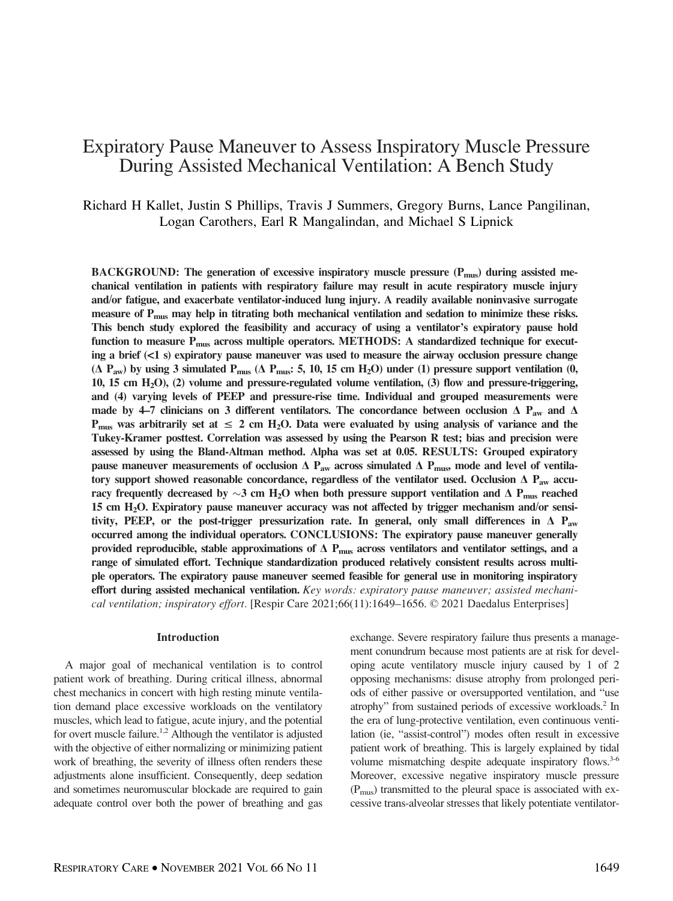# Expiratory Pause Maneuver to Assess Inspiratory Muscle Pressure During Assisted Mechanical Ventilation: A Bench Study

Richard H Kallet, Justin S Phillips, Travis J Summers, Gregory Burns, Lance Pangilinan, Logan Carothers, Earl R Mangalindan, and Michael S Lipnick

BACKGROUND: The generation of excessive inspiratory muscle pressure  $(P_{\text{mus}})$  during assisted mechanical ventilation in patients with respiratory failure may result in acute respiratory muscle injury and/or fatigue, and exacerbate ventilator-induced lung injury. A readily available noninvasive surrogate measure of  $P_{\text{mus}}$  may help in titrating both mechanical ventilation and sedation to minimize these risks. This bench study explored the feasibility and accuracy of using a ventilator's expiratory pause hold function to measure P<sub>mus</sub> across multiple operators. METHODS: A standardized technique for executing a brief  $(\leq 1 \text{ s})$  expiratory pause maneuver was used to measure the airway occlusion pressure change ( $\Delta$  P<sub>aw</sub>) by using 3 simulated P<sub>mus</sub> ( $\Delta$  P<sub>mus</sub>: 5, 10, 15 cm H<sub>2</sub>O) under (1) pressure support ventilation (0, 10, 15 cm  $H_2O$ ), (2) volume and pressure-regulated volume ventilation, (3) flow and pressure-triggering, and (4) varying levels of PEEP and pressure-rise time. Individual and grouped measurements were made by 4–7 clinicians on 3 different ventilators. The concordance between occlusion  $\Delta$  P<sub>aw</sub> and  $\Delta$  $P_{\text{mus}}$  was arbitrarily set at  $\leq 2$  cm H<sub>2</sub>O. Data were evaluated by using analysis of variance and the Tukey-Kramer posttest. Correlation was assessed by using the Pearson R test; bias and precision were assessed by using the Bland-Altman method. Alpha was set at 0.05. RESULTS: Grouped expiratory pause maneuver measurements of occlusion  $\Delta$  P<sub>aw</sub> across simulated  $\Delta$  P<sub>mus</sub>, mode and level of ventilatory support showed reasonable concordance, regardless of the ventilator used. Occlusion  $\Delta$  P<sub>aw</sub> accuracy frequently decreased by  $\sim$ 3 cm H<sub>2</sub>O when both pressure support ventilation and  $\Delta$  P<sub>mus</sub> reached 15 cm H2O. Expiratory pause maneuver accuracy was not affected by trigger mechanism and/or sensitivity, PEEP, or the post-trigger pressurization rate. In general, only small differences in  $\Delta$  P<sub>aw</sub> occurred among the individual operators. CONCLUSIONS: The expiratory pause maneuver generally provided reproducible, stable approximations of  $\Delta$  P<sub>mus</sub> across ventilators and ventilator settings, and a range of simulated effort. Technique standardization produced relatively consistent results across multiple operators. The expiratory pause maneuver seemed feasible for general use in monitoring inspiratory effort during assisted mechanical ventilation. Key words: expiratory pause maneuver; assisted mechanical ventilation; inspiratory effort. [Respir Care 2021;66(11):1649–1656. © 2021 Daedalus Enterprises]

### Introduction

A major goal of mechanical ventilation is to control patient work of breathing. During critical illness, abnormal chest mechanics in concert with high resting minute ventilation demand place excessive workloads on the ventilatory muscles, which lead to fatigue, acute injury, and the potential for overt muscle failure.<sup>1,2</sup> Although the ventilator is adjusted with the objective of either normalizing or minimizing patient work of breathing, the severity of illness often renders these adjustments alone insufficient. Consequently, deep sedation and sometimes neuromuscular blockade are required to gain adequate control over both the power of breathing and gas exchange. Severe respiratory failure thus presents a management conundrum because most patients are at risk for developing acute ventilatory muscle injury caused by 1 of 2 opposing mechanisms: disuse atrophy from prolonged periods of either passive or oversupported ventilation, and "use atrophy" from sustained periods of excessive workloads.2 In the era of lung-protective ventilation, even continuous ventilation (ie, "assist-control") modes often result in excessive patient work of breathing. This is largely explained by tidal volume mismatching despite adequate inspiratory flows.<sup>3-6</sup> Moreover, excessive negative inspiratory muscle pressure  $(P_{\text{mus}})$  transmitted to the pleural space is associated with excessive trans-alveolar stresses that likely potentiate ventilator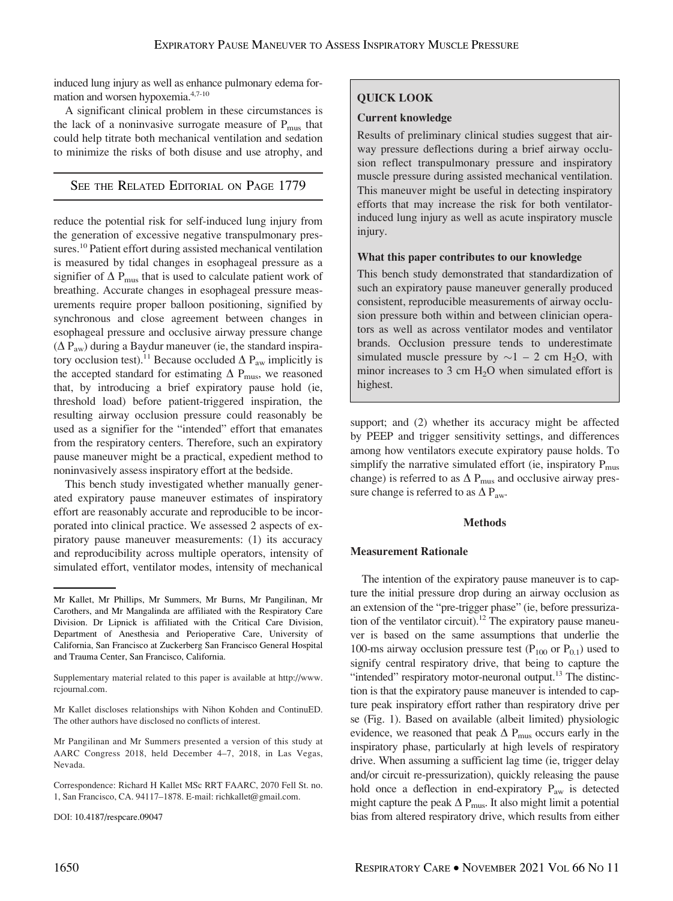induced lung injury as well as enhance pulmonary edema formation and worsen hypoxemia.4,7-10

A significant clinical problem in these circumstances is the lack of a noninvasive surrogate measure of  $P_{\text{mus}}$  that could help titrate both mechanical ventilation and sedation to minimize the risks of both disuse and use atrophy, and

# SEE THE RELATED EDITORIAL ON PAGE 1779

reduce the potential risk for self-induced lung injury from the generation of excessive negative transpulmonary pressures.<sup>10</sup> Patient effort during assisted mechanical ventilation is measured by tidal changes in esophageal pressure as a signifier of  $\Delta$  P<sub>mus</sub> that is used to calculate patient work of breathing. Accurate changes in esophageal pressure measurements require proper balloon positioning, signified by synchronous and close agreement between changes in esophageal pressure and occlusive airway pressure change  $(\Delta P_{aw})$  during a Baydur maneuver (ie, the standard inspiratory occlusion test).<sup>11</sup> Because occluded  $\Delta$  P<sub>aw</sub> implicitly is the accepted standard for estimating  $\Delta$  P<sub>mus</sub>, we reasoned that, by introducing a brief expiratory pause hold (ie, threshold load) before patient-triggered inspiration, the resulting airway occlusion pressure could reasonably be used as a signifier for the "intended" effort that emanates from the respiratory centers. Therefore, such an expiratory pause maneuver might be a practical, expedient method to noninvasively assess inspiratory effort at the bedside.

This bench study investigated whether manually generated expiratory pause maneuver estimates of inspiratory effort are reasonably accurate and reproducible to be incorporated into clinical practice. We assessed 2 aspects of expiratory pause maneuver measurements: (1) its accuracy and reproducibility across multiple operators, intensity of simulated effort, ventilator modes, intensity of mechanical

### DOI: 10.4187/respcare.09047

# QUICK LOOK

## Current knowledge

Results of preliminary clinical studies suggest that airway pressure deflections during a brief airway occlusion reflect transpulmonary pressure and inspiratory muscle pressure during assisted mechanical ventilation. This maneuver might be useful in detecting inspiratory efforts that may increase the risk for both ventilatorinduced lung injury as well as acute inspiratory muscle injury.

## What this paper contributes to our knowledge

This bench study demonstrated that standardization of such an expiratory pause maneuver generally produced consistent, reproducible measurements of airway occlusion pressure both within and between clinician operators as well as across ventilator modes and ventilator brands. Occlusion pressure tends to underestimate simulated muscle pressure by  $\sim$ 1 – 2 cm H<sub>2</sub>O, with minor increases to 3 cm  $H_2O$  when simulated effort is highest.

support; and (2) whether its accuracy might be affected by PEEP and trigger sensitivity settings, and differences among how ventilators execute expiratory pause holds. To simplify the narrative simulated effort (ie, inspiratory  $P_{\text{mus}}$ change) is referred to as  $\Delta$  P<sub>mus</sub> and occlusive airway pressure change is referred to as  $\Delta P_{\text{aw}}$ .

## **Methods**

### Measurement Rationale

The intention of the expiratory pause maneuver is to capture the initial pressure drop during an airway occlusion as an extension of the "pre-trigger phase" (ie, before pressurization of the ventilator circuit).<sup>12</sup> The expiratory pause maneuver is based on the same assumptions that underlie the 100-ms airway occlusion pressure test ( $P_{100}$  or  $P_{0.1}$ ) used to signify central respiratory drive, that being to capture the "intended" respiratory motor-neuronal output.<sup>13</sup> The distinction is that the expiratory pause maneuver is intended to capture peak inspiratory effort rather than respiratory drive per se (Fig. 1). Based on available (albeit limited) physiologic evidence, we reasoned that peak  $\Delta$  P<sub>mus</sub> occurs early in the inspiratory phase, particularly at high levels of respiratory drive. When assuming a sufficient lag time (ie, trigger delay and/or circuit re-pressurization), quickly releasing the pause hold once a deflection in end-expiratory P<sub>aw</sub> is detected might capture the peak  $\Delta$  P<sub>mus</sub>. It also might limit a potential bias from altered respiratory drive, which results from either

Mr Kallet, Mr Phillips, Mr Summers, Mr Burns, Mr Pangilinan, Mr Carothers, and Mr Mangalinda are affiliated with the Respiratory Care Division. Dr Lipnick is affiliated with the Critical Care Division, Department of Anesthesia and Perioperative Care, University of California, San Francisco at Zuckerberg San Francisco General Hospital and Trauma Center, San Francisco, California.

Supplementary material related to this paper is available at [http://www.](http://www.rcjournal.com) [rcjournal.com](http://www.rcjournal.com).

Mr Kallet discloses relationships with Nihon Kohden and ContinuED. The other authors have disclosed no conflicts of interest.

Mr Pangilinan and Mr Summers presented a version of this study at AARC Congress 2018, held December 4–7, 2018, in Las Vegas, Nevada.

Correspondence: Richard H Kallet MSc RRT FAARC, 2070 Fell St. no. 1, San Francisco, CA. 94117–1878. E-mail: [richkallet@gmail.com](mailto:richkallet@gmail.com).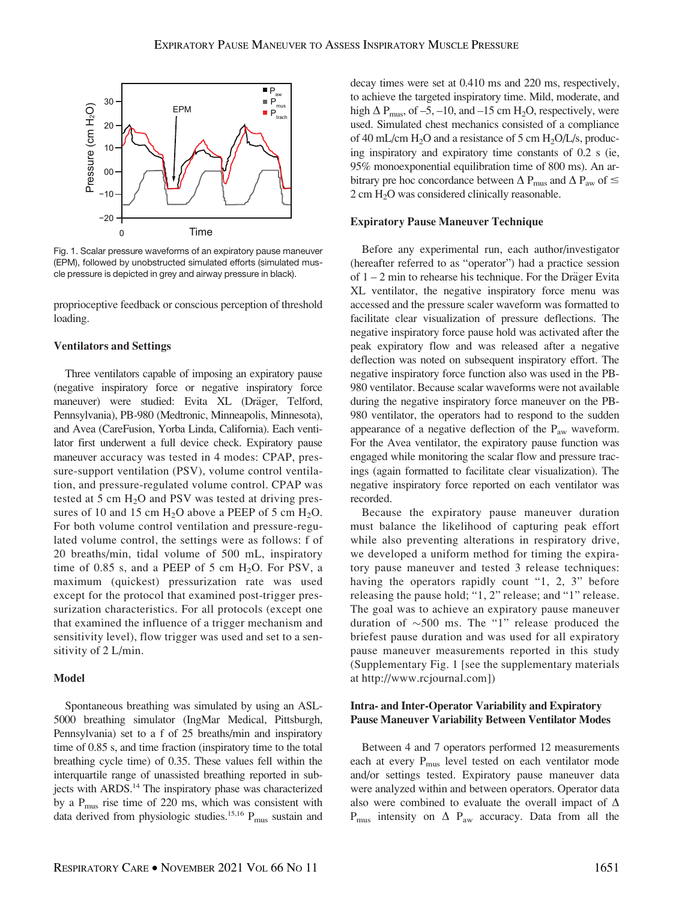

Fig. 1. Scalar pressure waveforms of an expiratory pause maneuver (EPM), followed by unobstructed simulated efforts (simulated muscle pressure is depicted in grey and airway pressure in black).

proprioceptive feedback or conscious perception of threshold loading.

## Ventilators and Settings

Three ventilators capable of imposing an expiratory pause (negative inspiratory force or negative inspiratory force maneuver) were studied: Evita XL (Dräger, Telford, Pennsylvania), PB-980 (Medtronic, Minneapolis, Minnesota), and Avea (CareFusion, Yorba Linda, California). Each ventilator first underwent a full device check. Expiratory pause maneuver accuracy was tested in 4 modes: CPAP, pressure-support ventilation (PSV), volume control ventilation, and pressure-regulated volume control. CPAP was tested at  $5 \text{ cm H}_2\text{O}$  and PSV was tested at driving pressures of 10 and 15 cm  $H_2O$  above a PEEP of 5 cm  $H_2O$ . For both volume control ventilation and pressure-regulated volume control, the settings were as follows: f of 20 breaths/min, tidal volume of 500 mL, inspiratory time of 0.85 s, and a PEEP of 5 cm  $H_2O$ . For PSV, a maximum (quickest) pressurization rate was used except for the protocol that examined post-trigger pressurization characteristics. For all protocols (except one that examined the influence of a trigger mechanism and sensitivity level), flow trigger was used and set to a sensitivity of 2 L/min.

#### Model

Spontaneous breathing was simulated by using an ASL-5000 breathing simulator (IngMar Medical, Pittsburgh, Pennsylvania) set to a f of 25 breaths/min and inspiratory time of 0.85 s, and time fraction (inspiratory time to the total breathing cycle time) of 0.35. These values fell within the interquartile range of unassisted breathing reported in subjects with ARDS.<sup>14</sup> The inspiratory phase was characterized by a  $P_{\text{mus}}$  rise time of 220 ms, which was consistent with data derived from physiologic studies.<sup>15,16</sup>  $P_{\text{mus}}$  sustain and

decay times were set at 0.410 ms and 220 ms, respectively, to achieve the targeted inspiratory time. Mild, moderate, and high  $\Delta$  P<sub>mus</sub>, of –5, –10, and –15 cm H<sub>2</sub>O, respectively, were used. Simulated chest mechanics consisted of a compliance of 40 mL/cm  $H_2O$  and a resistance of 5 cm  $H_2O/L/s$ , producing inspiratory and expiratory time constants of 0.2 s (ie, 95% monoexponential equilibration time of 800 ms). An arbitrary pre hoc concordance between  $\Delta$  P<sub>mus</sub> and  $\Delta$  P<sub>aw</sub> of  $\leq$ 2 cm H2O was considered clinically reasonable.

#### Expiratory Pause Maneuver Technique

Before any experimental run, each author/investigator (hereafter referred to as "operator") had a practice session of  $1 - 2$  min to rehearse his technique. For the Dräger Evita XL ventilator, the negative inspiratory force menu was accessed and the pressure scaler waveform was formatted to facilitate clear visualization of pressure deflections. The negative inspiratory force pause hold was activated after the peak expiratory flow and was released after a negative deflection was noted on subsequent inspiratory effort. The negative inspiratory force function also was used in the PB-980 ventilator. Because scalar waveforms were not available during the negative inspiratory force maneuver on the PB-980 ventilator, the operators had to respond to the sudden appearance of a negative deflection of the  $P_{\text{aw}}$  waveform. For the Avea ventilator, the expiratory pause function was engaged while monitoring the scalar flow and pressure tracings (again formatted to facilitate clear visualization). The negative inspiratory force reported on each ventilator was recorded.

Because the expiratory pause maneuver duration must balance the likelihood of capturing peak effort while also preventing alterations in respiratory drive, we developed a uniform method for timing the expiratory pause maneuver and tested 3 release techniques: having the operators rapidly count "1, 2, 3" before releasing the pause hold; "1, 2" release; and "1" release. The goal was to achieve an expiratory pause maneuver duration of  $\sim$ 500 ms. The "1" release produced the briefest pause duration and was used for all expiratory pause maneuver measurements reported in this study (Supplementary Fig. 1 [see the supplementary materials at [http://www.rcjournal.com\]](http://www.rcjournal.com))

## Intra- and Inter-Operator Variability and Expiratory Pause Maneuver Variability Between Ventilator Modes

Between 4 and 7 operators performed 12 measurements each at every P<sub>mus</sub> level tested on each ventilator mode and/or settings tested. Expiratory pause maneuver data were analyzed within and between operators. Operator data also were combined to evaluate the overall impact of  $\Delta$  $P_{\text{mus}}$  intensity on  $\Delta$   $P_{\text{aw}}$  accuracy. Data from all the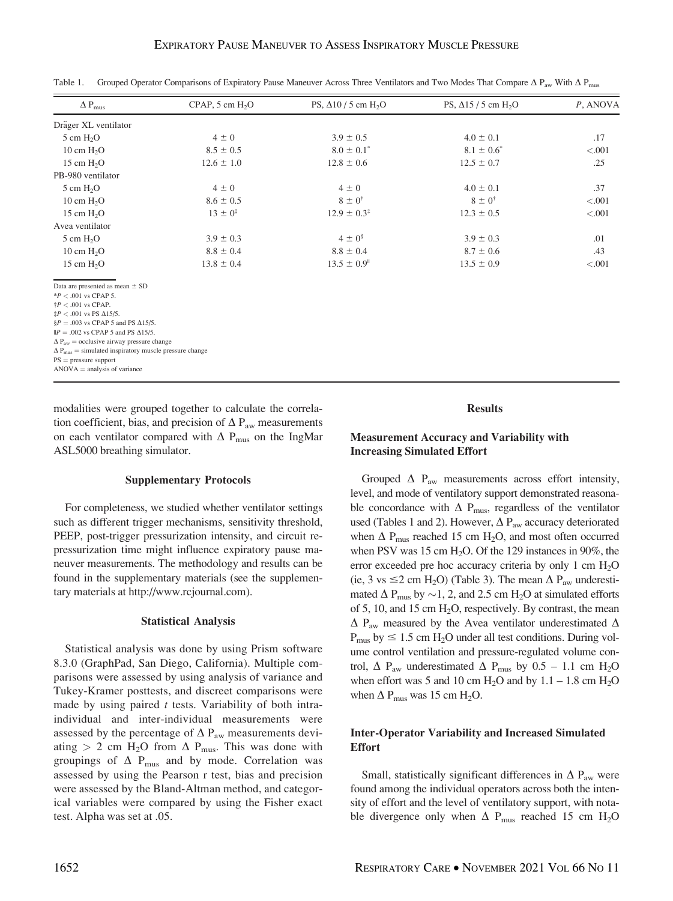| $\Delta$ P <sub>mus</sub> | $CPAP$ , 5 cm $H2O$   | PS, $\Delta$ 10 / 5 cm H <sub>2</sub> O | PS, $\Delta$ 15 / 5 cm H <sub>2</sub> O | $P$ , ANOVA |
|---------------------------|-----------------------|-----------------------------------------|-----------------------------------------|-------------|
| Dräger XL ventilator      |                       |                                         |                                         |             |
| $5 \text{ cm } H2O$       | $4 \pm 0$             | $3.9 \pm 0.5$                           | $4.0 \pm 0.1$                           | .17         |
| 10 cm $H_2O$              | $8.5 \pm 0.5$         | $8.0 \pm 0.1^*$                         | $8.1 \pm 0.6^*$                         | < .001      |
| 15 cm $H2O$               | $12.6 \pm 1.0$        | $12.8 \pm 0.6$                          | $12.5 \pm 0.7$                          | .25         |
| PB-980 ventilator         |                       |                                         |                                         |             |
| $5 \text{ cm } H_2$ O     | $4 \pm 0$             | $4 \pm 0$                               | $4.0 \pm 0.1$                           | .37         |
| 10 cm $H2O$               | $8.6 \pm 0.5$         | $8 \pm 0^{\dagger}$                     | $8 \pm 0^{\dagger}$                     | < .001      |
| 15 cm $H2O$               | $13 \pm 0^{\ddagger}$ | $12.9 \pm 0.3^{\ddagger}$               | $12.3 \pm 0.5$                          | $-.001$     |
| Avea ventilator           |                       |                                         |                                         |             |
| $5 \text{ cm } H_2O$      | $3.9 \pm 0.3$         | $4 \pm 0^8$                             | $3.9 \pm 0.3$                           | .01         |
| 10 cm $H2O$               | $8.8 \pm 0.4$         | $8.8 \pm 0.4$                           | $8.7 \pm 0.6$                           | .43         |
| 15 cm $H2O$               | $13.8 \pm 0.4$        | $13.5 \pm 0.9$ <sup>"</sup>             | $13.5 \pm 0.9$                          | < .001      |

Table 1. Grouped Operator Comparisons of Expiratory Pause Maneuver Across Three Ventilators and Two Modes That Compare  $\Delta P_{\text{aw}}$  With  $\Delta P_{\text{mus}}$ 

Data are presented as mean  $\pm$  SD

 $*P < .001$  vs CPAP 5.

 $\frac{+P}{+P}$  < 001 vs CPAP.

 $\frac{4}{3}P < .001$  vs PS  $\Delta$ 15/5.  $$P = .003$  vs CPAP 5 and PS  $\Delta$ 15/5.

 $||P = .002$  vs CPAP 5 and PS  $\Delta$ 15/5.

 $\Delta P_{\text{aw}} =$  occlusive airway pressure change

 $\Delta P_{\text{mus}} =$  simulated inspiratory muscle pressure change  $PS = pressure support$ 

 $ANOVA =$  analysis of variance

modalities were grouped together to calculate the correlation coefficient, bias, and precision of  $\Delta P_{\text{aw}}$  measurements on each ventilator compared with  $\Delta$  P<sub>mus</sub> on the IngMar ASL5000 breathing simulator.

## Supplementary Protocols

For completeness, we studied whether ventilator settings such as different trigger mechanisms, sensitivity threshold, PEEP, post-trigger pressurization intensity, and circuit repressurization time might influence expiratory pause maneuver measurements. The methodology and results can be found in the supplementary materials (see the supplementary materials at [http://www.rcjournal.com\)](http://www.rcjournal.com).

## Statistical Analysis

Statistical analysis was done by using Prism software 8.3.0 (GraphPad, San Diego, California). Multiple comparisons were assessed by using analysis of variance and Tukey-Kramer posttests, and discreet comparisons were made by using paired  $t$  tests. Variability of both intraindividual and inter-individual measurements were assessed by the percentage of  $\Delta P_{\text{aw}}$  measurements deviating > 2 cm H<sub>2</sub>O from  $\Delta$  P<sub>mus</sub>. This was done with groupings of  $\Delta$  P<sub>mus</sub> and by mode. Correlation was assessed by using the Pearson r test, bias and precision were assessed by the Bland-Altman method, and categorical variables were compared by using the Fisher exact test. Alpha was set at .05.

## Results

# Measurement Accuracy and Variability with Increasing Simulated Effort

Grouped  $\Delta$  P<sub>aw</sub> measurements across effort intensity, level, and mode of ventilatory support demonstrated reasonable concordance with  $\Delta$  P<sub>mus</sub>, regardless of the ventilator used (Tables 1 and 2). However,  $\Delta$  P<sub>aw</sub> accuracy deteriorated when  $\Delta$  P<sub>mus</sub> reached 15 cm H<sub>2</sub>O, and most often occurred when PSV was 15 cm  $H_2O$ . Of the 129 instances in 90%, the error exceeded pre hoc accuracy criteria by only 1 cm H<sub>2</sub>O (ie, 3 vs  $\leq$  2 cm H<sub>2</sub>O) (Table 3). The mean  $\Delta$  P<sub>aw</sub> underestimated  $\Delta$  P<sub>mus</sub> by  $\sim$ 1, 2, and 2.5 cm H<sub>2</sub>O at simulated efforts of 5, 10, and 15 cm  $H_2O$ , respectively. By contrast, the mean  $\Delta$  P<sub>aw</sub> measured by the Avea ventilator underestimated  $\Delta$  $P_{\text{mus}}$  by  $\leq 1.5$  cm H<sub>2</sub>O under all test conditions. During volume control ventilation and pressure-regulated volume control,  $\Delta$  P<sub>aw</sub> underestimated  $\Delta$  P<sub>mus</sub> by 0.5 – 1.1 cm H<sub>2</sub>O when effort was 5 and 10 cm  $H_2O$  and by 1.1 – 1.8 cm  $H_2O$ when  $\Delta$  P<sub>mus</sub> was 15 cm H<sub>2</sub>O.

# Inter-Operator Variability and Increased Simulated Effort

Small, statistically significant differences in  $\Delta$  P<sub>aw</sub> were found among the individual operators across both the intensity of effort and the level of ventilatory support, with notable divergence only when  $\Delta$  P<sub>mus</sub> reached 15 cm H<sub>2</sub>O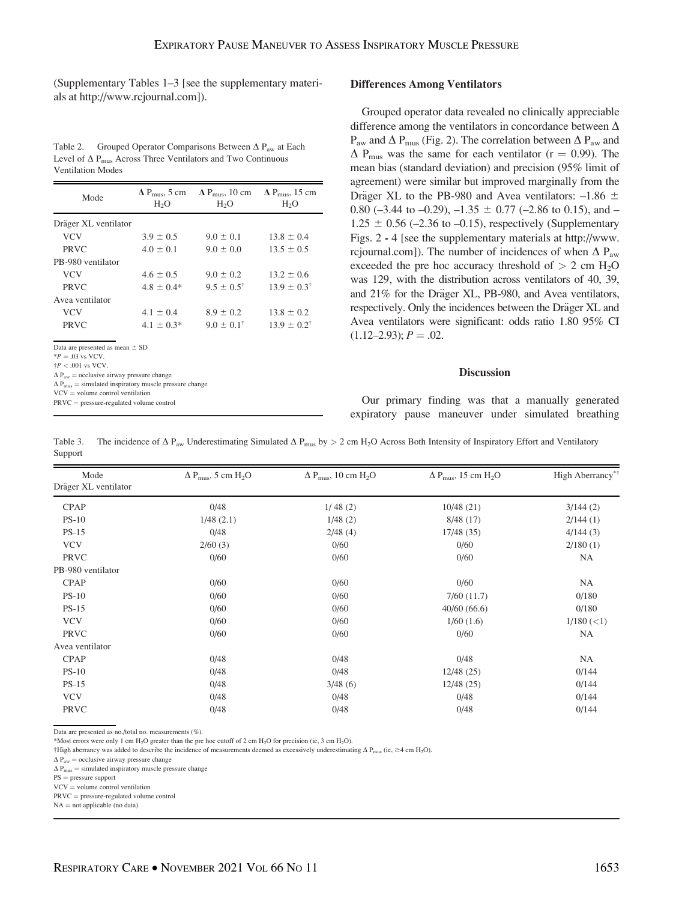(Supplementary Tables 1–3 [see the supplementary materials at<http://www.rcjournal.com>]).

Table 2. Grouped Operator Comparisons Between  $\Delta P_{aw}$  at Each Level of  $\Delta$  P<sub>mus</sub> Across Three Ventilators and Two Continuous Ventilation Modes

| Mode                                                                                                                                                                                                                                                                                                                       | H <sub>2</sub> O | $\Delta$ P <sub>mus</sub> , 5 cm $\Delta$ P <sub>mus</sub> , 10 cm $\Delta$ P <sub>mus</sub> , 15 cm<br>H <sub>2</sub> O | H <sub>2</sub> O         |  |  |  |
|----------------------------------------------------------------------------------------------------------------------------------------------------------------------------------------------------------------------------------------------------------------------------------------------------------------------------|------------------|--------------------------------------------------------------------------------------------------------------------------|--------------------------|--|--|--|
| Dräger XL ventilator                                                                                                                                                                                                                                                                                                       |                  |                                                                                                                          |                          |  |  |  |
| <b>VCV</b>                                                                                                                                                                                                                                                                                                                 | $3.9 \pm 0.5$    | $9.0 \pm 0.1$                                                                                                            | $13.8 \pm 0.4$           |  |  |  |
| <b>PRVC</b>                                                                                                                                                                                                                                                                                                                | $4.0 \pm 0.1$    | $9.0 \pm 0.0$                                                                                                            | $13.5 \pm 0.5$           |  |  |  |
| PB-980 ventilator                                                                                                                                                                                                                                                                                                          |                  |                                                                                                                          |                          |  |  |  |
| <b>VCV</b>                                                                                                                                                                                                                                                                                                                 | $4.6 \pm 0.5$    | $9.0 \pm 0.2$                                                                                                            | $13.2 \pm 0.6$           |  |  |  |
| <b>PRVC</b>                                                                                                                                                                                                                                                                                                                | $4.8 + 0.4*$     | $9.5 + 0.5^{\dagger}$                                                                                                    | $13.9 \pm 0.3^{\dagger}$ |  |  |  |
| Avea ventilator                                                                                                                                                                                                                                                                                                            |                  |                                                                                                                          |                          |  |  |  |
| <b>VCV</b>                                                                                                                                                                                                                                                                                                                 | $4.1 \pm 0.4$    | $8.9 \pm 0.2$                                                                                                            | $13.8 \pm 0.2$           |  |  |  |
| <b>PRVC</b>                                                                                                                                                                                                                                                                                                                | $4.1 \pm 0.3^*$  | $9.0 \pm 0.1^{\dagger}$                                                                                                  | $13.9 \pm 0.2^{\dagger}$ |  |  |  |
| Data are presented as mean $\pm$ SD<br>${}^{*}P = .03$ vs VCV.<br>$\frac{1}{4}P < .001$ vs VCV.<br>$\Delta P_{\text{aw}}$ = occlusive airway pressure change<br>$\Delta P_{\text{mus}} =$ simulated inspiratory muscle pressure change<br>$VCV = volume control ventilation$<br>$PRVC = pressure-regulated volume control$ |                  |                                                                                                                          |                          |  |  |  |

## Differences Among Ventilators

Grouped operator data revealed no clinically appreciable difference among the ventilators in concordance between  $\Delta$  $P_{\text{aw}}$  and  $\Delta P_{\text{mus}}$  (Fig. 2). The correlation between  $\Delta P_{\text{aw}}$  and  $\Delta$  P<sub>mus</sub> was the same for each ventilator (r = 0.99). The mean bias (standard deviation) and precision (95% limit of agreement) were similar but improved marginally from the Dräger XL to the PB-980 and Avea ventilators:  $-1.86 \pm$ 0.80 ( $-3.44$  to  $-0.29$ ),  $-1.35 \pm 0.77$  ( $-2.86$  to 0.15), and  $-$ 1.25  $\pm$  0.56 (-2.36 to -0.15), respectively (Supplementary Figs. 2 - 4 [see the supplementary materials at [http://www.](http://www.rcjournal.com) [rcjournal.com](http://www.rcjournal.com)]). The number of incidences of when  $\Delta P_{\text{aw}}$ exceeded the pre hoc accuracy threshold of  $> 2$  cm  $H_2O$ was 129, with the distribution across ventilators of 40, 39, and 21% for the Dräger XL, PB-980, and Avea ventilators, respectively. Only the incidences between the Dräger XL and Avea ventilators were significant: odds ratio 1.80 95% CI  $(1.12-2.93); P = .02.$ 

#### **Discussion**

Our primary finding was that a manually generated expiratory pause maneuver under simulated breathing

Table 3. The incidence of  $\Delta P_{\text{aw}}$  Underestimating Simulated  $\Delta P_{\text{mus}}$  by  $> 2 \text{ cm H}_2\text{O}$  Across Both Intensity of Inspiratory Effort and Ventilatory Support

| Mode<br>Dräger XL ventilator | $\Delta P_{\rm{mus}}$ , 5 cm H <sub>2</sub> O | $\Delta P_{\text{mus}}$ , 10 cm H <sub>2</sub> O | $\Delta$ P <sub>mus</sub> , 15 cm H <sub>2</sub> O | High Aberrancy <sup>*†</sup> |
|------------------------------|-----------------------------------------------|--------------------------------------------------|----------------------------------------------------|------------------------------|
| <b>CPAP</b>                  | 0/48                                          | 1/48(2)                                          | 10/48(21)                                          | 3/144(2)                     |
| $PS-10$                      | 1/48(2.1)                                     | 1/48(2)                                          | 8/48(17)                                           | 2/144(1)                     |
| $PS-15$                      | 0/48                                          | 2/48(4)                                          | 17/48 (35)                                         | 4/144(3)                     |
| <b>VCV</b>                   | 2/60(3)                                       | 0/60                                             | 0/60                                               | 2/180(1)                     |
| PRVC                         | 0/60                                          | 0/60                                             | 0/60                                               | NA                           |
| PB-980 ventilator            |                                               |                                                  |                                                    |                              |
| <b>CPAP</b>                  | 0/60                                          | 0/60                                             | 0/60                                               | NA                           |
| $PS-10$                      | 0/60                                          | 0/60                                             | 7/60(11.7)                                         | 0/180                        |
| $PS-15$                      | 0/60                                          | 0/60                                             | 40/60(66.6)                                        | 0/180                        |
| <b>VCV</b>                   | 0/60                                          | 0/60                                             | 1/60(1.6)                                          | 1/180 (< 1)                  |
| PRVC                         | 0/60                                          | 0/60                                             | 0/60                                               | NA                           |
| Avea ventilator              |                                               |                                                  |                                                    |                              |
| <b>CPAP</b>                  | 0/48                                          | 0/48                                             | 0/48                                               | NA                           |
| $PS-10$                      | 0/48                                          | 0/48                                             | 12/48(25)                                          | 0/144                        |
| $PS-15$                      | 0/48                                          | 3/48(6)                                          | 12/48(25)                                          | 0/144                        |
| <b>VCV</b>                   | 0/48                                          | 0/48                                             | 0/48                                               | 0/144                        |
| PRVC                         | 0/48                                          | 0/48                                             | 0/48                                               | 0/144                        |

Data are presented as no./total no. measurements (%).

\*Most errors were only 1 cm H2O greater than the pre hoc cutoff of 2 cm H2O for precision (ie, 3 cm H2O).

 $\dagger$ High aberrancy was added to describe the incidence of measurements deemed as excessively underestimating  $\Delta P_{\text{mus}}$  (ie,  $\geq$ 4 cm H<sub>2</sub>O).

 $\Delta P_{\text{aw}} =$  occlusive airway pressure change

 $\Delta P_{\text{mus}} =$  simulated inspiratory muscle pressure change

 $PS = pressure support$ 

 $VCV = volume control ventilation$ 

 $PRVC = pressure-regulated volume control$ 

 $NA = not applicable (no data)$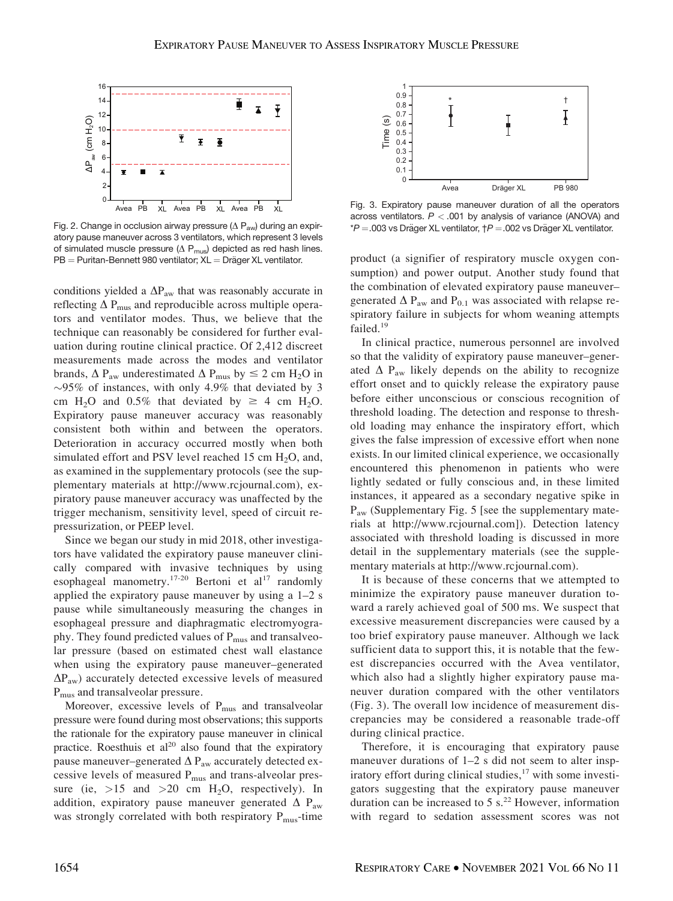

Fig. 2. Change in occlusion airway pressure ( $\Delta$  P<sub>aw</sub>) during an expiratory pause maneuver across 3 ventilators, which represent 3 levels of simulated muscle pressure ( $\Delta$  P<sub>mus</sub>) depicted as red hash lines.  $PB =$  Puritan-Bennett 980 ventilator;  $XL =$  Dräger XL ventilator.

conditions yielded a  $\Delta P_{\text{aw}}$  that was reasonably accurate in reflecting  $\Delta$  P<sub>mus</sub> and reproducible across multiple operators and ventilator modes. Thus, we believe that the technique can reasonably be considered for further evaluation during routine clinical practice. Of 2,412 discreet measurements made across the modes and ventilator brands,  $\Delta$  P<sub>aw</sub> underestimated  $\Delta$  P<sub>mus</sub> by  $\leq$  2 cm H<sub>2</sub>O in  $\sim$ 95% of instances, with only 4.9% that deviated by 3 cm H<sub>2</sub>O and 0.5% that deviated by  $\geq$  4 cm H<sub>2</sub>O. Expiratory pause maneuver accuracy was reasonably consistent both within and between the operators. Deterioration in accuracy occurred mostly when both simulated effort and PSV level reached 15 cm  $H_2O$ , and, as examined in the supplementary protocols (see the supplementary materials at<http://www.rcjournal.com>), expiratory pause maneuver accuracy was unaffected by the trigger mechanism, sensitivity level, speed of circuit repressurization, or PEEP level.

Since we began our study in mid 2018, other investigators have validated the expiratory pause maneuver clinically compared with invasive techniques by using esophageal manometry.<sup>17-20</sup> Bertoni et al<sup>17</sup> randomly applied the expiratory pause maneuver by using a 1–2 s pause while simultaneously measuring the changes in esophageal pressure and diaphragmatic electromyography. They found predicted values of P<sub>mus</sub> and transalveolar pressure (based on estimated chest wall elastance when using the expiratory pause maneuver–generated  $\Delta P_{\text{aw}}$ ) accurately detected excessive levels of measured P<sub>mus</sub> and transalveolar pressure.

Moreover, excessive levels of P<sub>mus</sub> and transalveolar pressure were found during most observations; this supports the rationale for the expiratory pause maneuver in clinical practice. Roesthuis et al<sup>20</sup> also found that the expiratory pause maneuver–generated  $\Delta$  P<sub>aw</sub> accurately detected excessive levels of measured  $P_{\text{mus}}$  and trans-alveolar pressure (ie,  $>15$  and  $>20$  cm H<sub>2</sub>O, respectively). In addition, expiratory pause maneuver generated  $\Delta$  P<sub>aw</sub> was strongly correlated with both respiratory  $P_{\text{mus}}$ -time



Fig. 3. Expiratory pause maneuver duration of all the operators across ventilators.  $P < 0.001$  by analysis of variance (ANOVA) and  $*P = .003$  vs Dräger XL ventilator,  $\uparrow P = .002$  vs Dräger XL ventilator.

product (a signifier of respiratory muscle oxygen consumption) and power output. Another study found that the combination of elevated expiratory pause maneuver– generated  $\Delta$  P<sub>aw</sub> and P<sub>0.1</sub> was associated with relapse respiratory failure in subjects for whom weaning attempts failed.<sup>19</sup>

In clinical practice, numerous personnel are involved so that the validity of expiratory pause maneuver–generated  $\Delta$  P<sub>aw</sub> likely depends on the ability to recognize effort onset and to quickly release the expiratory pause before either unconscious or conscious recognition of threshold loading. The detection and response to threshold loading may enhance the inspiratory effort, which gives the false impression of excessive effort when none exists. In our limited clinical experience, we occasionally encountered this phenomenon in patients who were lightly sedated or fully conscious and, in these limited instances, it appeared as a secondary negative spike in  $P_{\text{aw}}$  (Supplementary Fig. 5 [see the supplementary materials at<http://www.rcjournal.com>]). Detection latency associated with threshold loading is discussed in more detail in the supplementary materials (see the supplementary materials at<http://www.rcjournal.com>).

It is because of these concerns that we attempted to minimize the expiratory pause maneuver duration toward a rarely achieved goal of 500 ms. We suspect that excessive measurement discrepancies were caused by a too brief expiratory pause maneuver. Although we lack sufficient data to support this, it is notable that the fewest discrepancies occurred with the Avea ventilator, which also had a slightly higher expiratory pause maneuver duration compared with the other ventilators (Fig. 3). The overall low incidence of measurement discrepancies may be considered a reasonable trade-off during clinical practice.

Therefore, it is encouraging that expiratory pause maneuver durations of 1–2 s did not seem to alter inspiratory effort during clinical studies,<sup>17</sup> with some investigators suggesting that the expiratory pause maneuver duration can be increased to  $5 s<sup>22</sup>$  However, information with regard to sedation assessment scores was not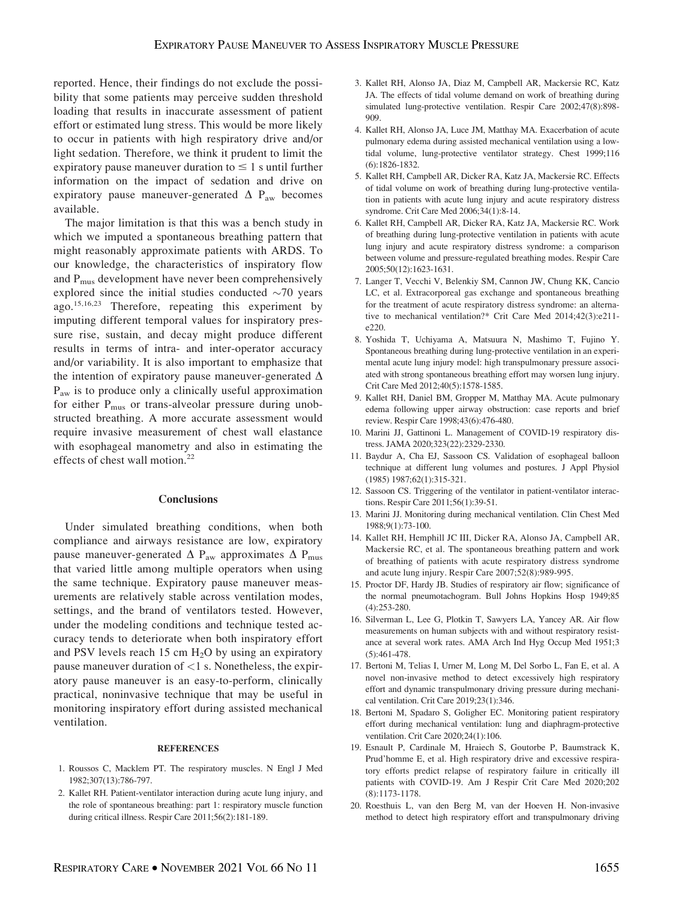reported. Hence, their findings do not exclude the possibility that some patients may perceive sudden threshold loading that results in inaccurate assessment of patient effort or estimated lung stress. This would be more likely to occur in patients with high respiratory drive and/or light sedation. Therefore, we think it prudent to limit the expiratory pause maneuver duration to  $\leq 1$  s until further information on the impact of sedation and drive on expiratory pause maneuver-generated  $\Delta$  P<sub>aw</sub> becomes available.

The major limitation is that this was a bench study in which we imputed a spontaneous breathing pattern that might reasonably approximate patients with ARDS. To our knowledge, the characteristics of inspiratory flow and  $P_{\text{mus}}$  development have never been comprehensively explored since the initial studies conducted  $\sim$ 70 years ago.15,16,23 Therefore, repeating this experiment by imputing different temporal values for inspiratory pressure rise, sustain, and decay might produce different results in terms of intra- and inter-operator accuracy and/or variability. It is also important to emphasize that the intention of expiratory pause maneuver-generated  $\Delta$  $P_{\text{aw}}$  is to produce only a clinically useful approximation for either  $P_{\text{mus}}$  or trans-alveolar pressure during unobstructed breathing. A more accurate assessment would require invasive measurement of chest wall elastance with esophageal manometry and also in estimating the effects of chest wall motion.<sup>22</sup>

## **Conclusions**

Under simulated breathing conditions, when both compliance and airways resistance are low, expiratory pause maneuver-generated  $\Delta$  P<sub>aw</sub> approximates  $\Delta$  P<sub>mus</sub> that varied little among multiple operators when using the same technique. Expiratory pause maneuver measurements are relatively stable across ventilation modes, settings, and the brand of ventilators tested. However, under the modeling conditions and technique tested accuracy tends to deteriorate when both inspiratory effort and PSV levels reach 15 cm  $H<sub>2</sub>O$  by using an expiratory pause maneuver duration of <1 s. Nonetheless, the expiratory pause maneuver is an easy-to-perform, clinically practical, noninvasive technique that may be useful in monitoring inspiratory effort during assisted mechanical ventilation.

#### **REFERENCES**

- 1. Roussos C, Macklem PT. The respiratory muscles. N Engl J Med 1982;307(13):786-797.
- 2. Kallet RH. Patient-ventilator interaction during acute lung injury, and the role of spontaneous breathing: part 1: respiratory muscle function during critical illness. Respir Care 2011;56(2):181-189.
- 3. Kallet RH, Alonso JA, Diaz M, Campbell AR, Mackersie RC, Katz JA. The effects of tidal volume demand on work of breathing during simulated lung-protective ventilation. Respir Care 2002;47(8):898- 909.
- 4. Kallet RH, Alonso JA, Luce JM, Matthay MA. Exacerbation of acute pulmonary edema during assisted mechanical ventilation using a lowtidal volume, lung-protective ventilator strategy. Chest 1999;116 (6):1826-1832.
- 5. Kallet RH, Campbell AR, Dicker RA, Katz JA, Mackersie RC. Effects of tidal volume on work of breathing during lung-protective ventilation in patients with acute lung injury and acute respiratory distress syndrome. Crit Care Med 2006;34(1):8-14.
- 6. Kallet RH, Campbell AR, Dicker RA, Katz JA, Mackersie RC. Work of breathing during lung-protective ventilation in patients with acute lung injury and acute respiratory distress syndrome: a comparison between volume and pressure-regulated breathing modes. Respir Care 2005;50(12):1623-1631.
- 7. Langer T, Vecchi V, Belenkiy SM, Cannon JW, Chung KK, Cancio LC, et al. Extracorporeal gas exchange and spontaneous breathing for the treatment of acute respiratory distress syndrome: an alternative to mechanical ventilation?\* Crit Care Med 2014;42(3):e211 e220.
- 8. Yoshida T, Uchiyama A, Matsuura N, Mashimo T, Fujino Y. Spontaneous breathing during lung-protective ventilation in an experimental acute lung injury model: high transpulmonary pressure associated with strong spontaneous breathing effort may worsen lung injury. Crit Care Med 2012;40(5):1578-1585.
- 9. Kallet RH, Daniel BM, Gropper M, Matthay MA. Acute pulmonary edema following upper airway obstruction: case reports and brief review. Respir Care 1998;43(6):476-480.
- 10. Marini JJ, Gattinoni L. Management of COVID-19 respiratory distress. JAMA 2020;323(22):2329-2330.
- 11. Baydur A, Cha EJ, Sassoon CS. Validation of esophageal balloon technique at different lung volumes and postures. J Appl Physiol (1985) 1987;62(1):315-321.
- 12. Sassoon CS. Triggering of the ventilator in patient-ventilator interactions. Respir Care 2011;56(1):39-51.
- 13. Marini JJ. Monitoring during mechanical ventilation. Clin Chest Med 1988;9(1):73-100.
- 14. Kallet RH, Hemphill JC III, Dicker RA, Alonso JA, Campbell AR, Mackersie RC, et al. The spontaneous breathing pattern and work of breathing of patients with acute respiratory distress syndrome and acute lung injury. Respir Care 2007;52(8):989-995.
- 15. Proctor DF, Hardy JB. Studies of respiratory air flow; significance of the normal pneumotachogram. Bull Johns Hopkins Hosp 1949;85 (4):253-280.
- 16. Silverman L, Lee G, Plotkin T, Sawyers LA, Yancey AR. Air flow measurements on human subjects with and without respiratory resistance at several work rates. AMA Arch Ind Hyg Occup Med 1951;3 (5):461-478.
- 17. Bertoni M, Telias I, Urner M, Long M, Del Sorbo L, Fan E, et al. A novel non-invasive method to detect excessively high respiratory effort and dynamic transpulmonary driving pressure during mechanical ventilation. Crit Care 2019;23(1):346.
- 18. Bertoni M, Spadaro S, Goligher EC. Monitoring patient respiratory effort during mechanical ventilation: lung and diaphragm-protective ventilation. Crit Care 2020;24(1):106.
- 19. Esnault P, Cardinale M, Hraiech S, Goutorbe P, Baumstrack K, Prud'homme E, et al. High respiratory drive and excessive respiratory efforts predict relapse of respiratory failure in critically ill patients with COVID-19. Am J Respir Crit Care Med 2020;202 (8):1173-1178.
- 20. Roesthuis L, van den Berg M, van der Hoeven H. Non-invasive method to detect high respiratory effort and transpulmonary driving